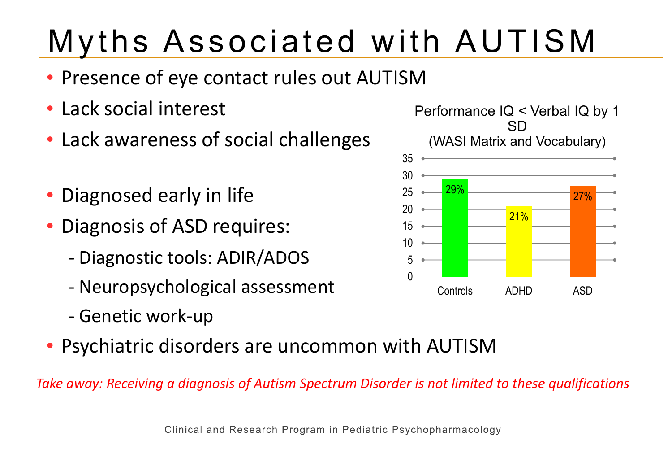# Myths Associated with AUTISM

- Presence of eye contact rules out AUTISM
- Lack social interest
- Lack awareness of social challenges
- Diagnosed early in life
- Diagnosis of ASD requires:
	- Diagnostic tools: ADIR/ADOS
	- Neuropsychological assessment
	- Genetic work-up
- Psychiatric disorders are uncommon with AUTISM

*Take away: Receiving a diagnosis of Autism Spectrum Disorder is not limited to these qualifications* 

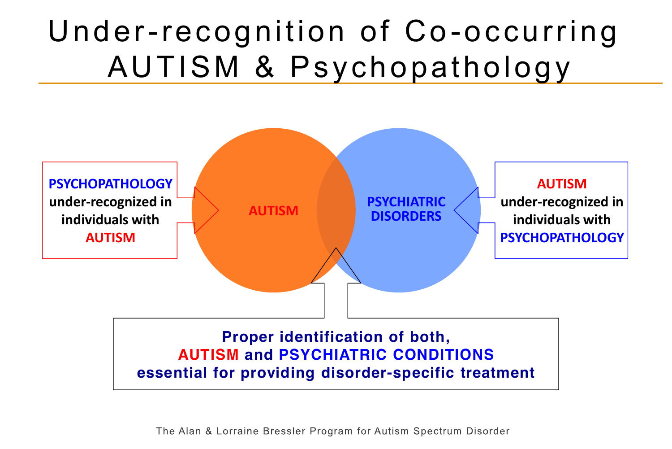# Under-recognition of Co-occurring AUTISM & Psychopathology



The Alan & Lorraine Bressler Program for Autism Spectrum Disorder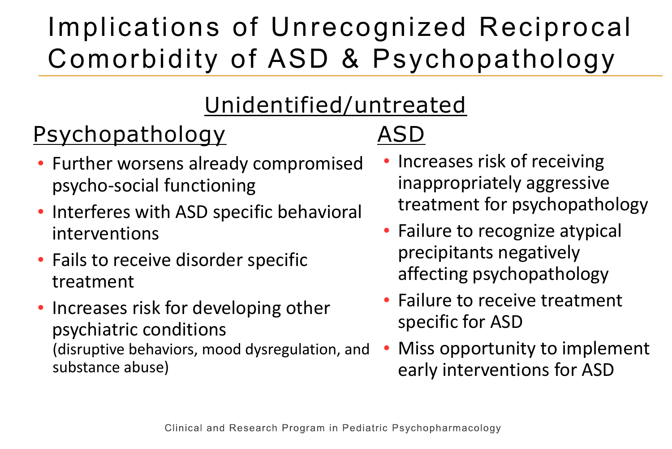## Implications of Unrecognized Reciprocal Comorbidity of ASD & Psychopathology

### Unidentified/untreated

## Psychopathology

- Further worsens already compromised psycho-social functioning
- Interferes with ASD specific behavioral interventions
- Fails to receive disorder specific treatment
- Increases risk for developing other psychiatric conditions (disruptive behaviors, mood dysregulation, and substance abuse)

## ASD

- Increases risk of receiving inappropriately aggressive treatment for psychopathology
- Failure to recognize atypical precipitants negatively affecting psychopathology
- Failure to receive treatment specific for ASD
- Miss opportunity to implement early interventions for ASD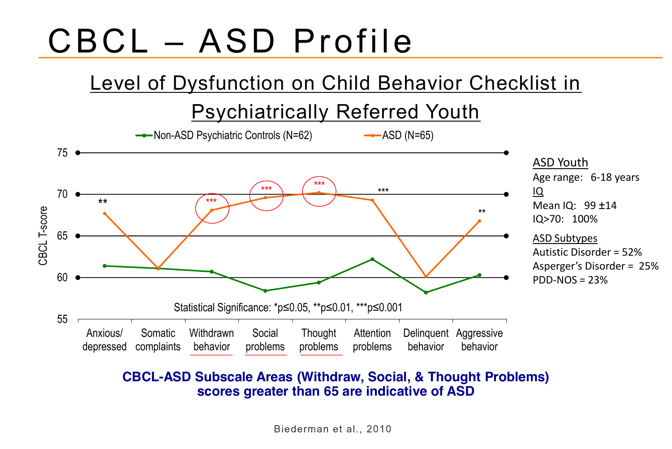# CBCL – ASD Profile

### Level of Dysfunction on Child Behavior Checklist in

#### Psychiatrically Referred Youth



#### **CBCL-ASD Subscale Areas (Withdraw, Social, & Thought Problems) scores greater than 65 are indicative of ASD**

Biederman et al., 2010